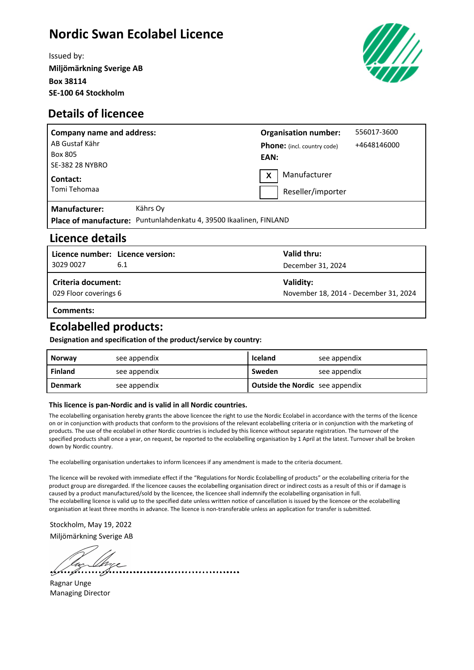# **Nordic Swan Ecolabel Licence**

Issued by: **Miljömärkning Sverige AB Box 38114 SE-100 64 Stockholm**



#### **Details of licencee**

| <b>Company name and address:</b> |                                                                    | <b>Organisation number:</b> |                                    | 556017-3600 |
|----------------------------------|--------------------------------------------------------------------|-----------------------------|------------------------------------|-------------|
| AB Gustaf Kähr                   |                                                                    |                             | <b>Phone:</b> (incl. country code) | +4648146000 |
| Box 805                          |                                                                    | EAN:                        |                                    |             |
| <b>SE-382 28 NYBRO</b>           |                                                                    |                             |                                    |             |
| Contact:                         |                                                                    | $\mathbf{x}$                | Manufacturer                       |             |
| Tomi Tehomaa                     |                                                                    |                             | Reseller/importer                  |             |
| <b>Manufacturer:</b>             | Kährs Ov                                                           |                             |                                    |             |
|                                  | Place of manufacture: Puntunlahdenkatu 4, 39500 Ikaalinen, FINLAND |                             |                                    |             |

#### **Licence details**

| Licence number: Licence version:<br>3029 0027      | 6.1 | Valid thru:<br>December 31, 2024                   |
|----------------------------------------------------|-----|----------------------------------------------------|
| <b>Criteria document:</b><br>029 Floor coverings 6 |     | Validity:<br>November 18, 2014 - December 31, 2024 |
| Comments:                                          |     |                                                    |

### **Ecolabelled products:**

**Designation and specification of the product/service by country:**

| <b>Norway</b>  | see appendix | Iceland                                | see appendix |
|----------------|--------------|----------------------------------------|--------------|
| Finland        | see appendix | Sweden                                 | see appendix |
| <b>Denmark</b> | see appendix | <b>Outside the Nordic</b> see appendix |              |

#### **This licence is pan-Nordic and is valid in all Nordic countries.**

The ecolabelling organisation hereby grants the above licencee the right to use the Nordic Ecolabel in accordance with the terms of the licence on or in conjunction with products that conform to the provisions of the relevant ecolabelling criteria or in conjunction with the marketing of products. The use of the ecolabel in other Nordic countries is included by this licence without separate registration. The turnover of the specified products shall once a year, on request, be reported to the ecolabelling organisation by 1 April at the latest. Turnover shall be broken down by Nordic country.

The ecolabelling organisation undertakes to inform licencees if any amendment is made to the criteria document.

.....................

The licence will be revoked with immediate effect if the "Regulations for Nordic Ecolabelling of products" or the ecolabelling criteria for the product group are disregarded. If the licencee causes the ecolabelling organisation direct or indirect costs as a result of this or if damage is caused by a product manufactured/sold by the licencee, the licencee shall indemnify the ecolabelling organisation in full. The ecolabelling licence is valid up to the specified date unless written notice of cancellation is issued by the licencee or the ecolabelling organisation at least three months in advance. The licence is non-transferable unless an application for transfer is submitted.

Stockholm, May 19, 2022 Miljömärkning Sverige AB

Ragnar Unge Managing Director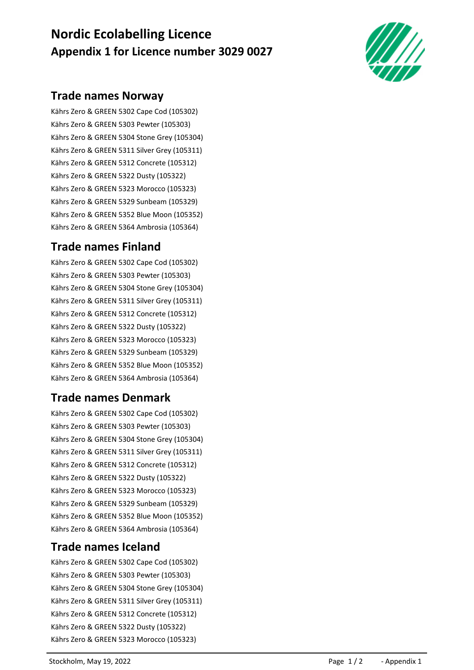# **Nordic Ecolabelling Licence Appendix 1 for Licence number 3029 0027**



### **Trade names Norway**

Kährs Zero & GREEN 5302 Cape Cod (105302) Kährs Zero & GREEN 5303 Pewter (105303) Kährs Zero & GREEN 5304 Stone Grey (105304) Kährs Zero & GREEN 5311 Silver Grey (105311) Kährs Zero & GREEN 5312 Concrete (105312) Kährs Zero & GREEN 5322 Dusty (105322) Kährs Zero & GREEN 5323 Morocco (105323) Kährs Zero & GREEN 5329 Sunbeam (105329) Kährs Zero & GREEN 5352 Blue Moon (105352) Kährs Zero & GREEN 5364 Ambrosia (105364)

## **Trade names Finland**

Kährs Zero & GREEN 5302 Cape Cod (105302) Kährs Zero & GREEN 5303 Pewter (105303) Kährs Zero & GREEN 5304 Stone Grey (105304) Kährs Zero & GREEN 5311 Silver Grey (105311) Kährs Zero & GREEN 5312 Concrete (105312) Kährs Zero & GREEN 5322 Dusty (105322) Kährs Zero & GREEN 5323 Morocco (105323) Kährs Zero & GREEN 5329 Sunbeam (105329) Kährs Zero & GREEN 5352 Blue Moon (105352) Kährs Zero & GREEN 5364 Ambrosia (105364)

# **Trade names Denmark**

Kährs Zero & GREEN 5302 Cape Cod (105302) Kährs Zero & GREEN 5303 Pewter (105303) Kährs Zero & GREEN 5304 Stone Grey (105304) Kährs Zero & GREEN 5311 Silver Grey (105311) Kährs Zero & GREEN 5312 Concrete (105312) Kährs Zero & GREEN 5322 Dusty (105322) Kährs Zero & GREEN 5323 Morocco (105323) Kährs Zero & GREEN 5329 Sunbeam (105329) Kährs Zero & GREEN 5352 Blue Moon (105352) Kährs Zero & GREEN 5364 Ambrosia (105364)

#### **Trade names Iceland**

Kährs Zero & GREEN 5302 Cape Cod (105302) Kährs Zero & GREEN 5303 Pewter (105303) Kährs Zero & GREEN 5304 Stone Grey (105304) Kährs Zero & GREEN 5311 Silver Grey (105311) Kährs Zero & GREEN 5312 Concrete (105312) Kährs Zero & GREEN 5322 Dusty (105322) Kährs Zero & GREEN 5323 Morocco (105323)